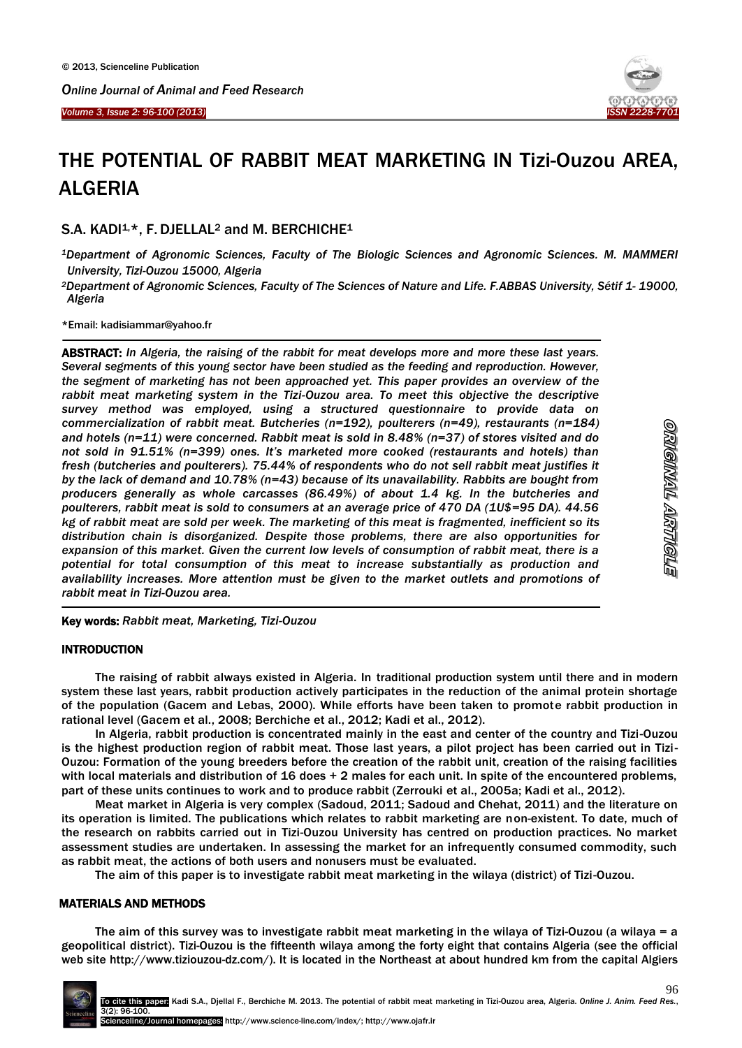Ï

1



# THE POTENTIAL OF RABBIT MEAT MARKETING IN Tizi-Ouzou AREA, ALGERIA

S.A. KADI<sup>1,\*</sup>, F. DJELLAL<sup>2</sup> and M. BERCHICHE<sup>1</sup>

- *<sup>1</sup>Department of Agronomic Sciences, Faculty of The Biologic Sciences and Agronomic Sciences. M. MAMMERI University, Tizi-Ouzou 15000, Algeria*
- *<sup>2</sup>Department of Agronomic Sciences, Faculty of The Sciences of Nature and Life. F.ABBAS University, Sétif 1- 19000, Algeria*

\*Email: kadisiammar@yahoo.fr

ABSTRACT: *In Algeria, the raising of the rabbit for meat develops more and more these last years. Several segments of this young sector have been studied as the feeding and reproduction. However, the segment of marketing has not been approached yet. This paper provides an overview of the*  rabbit meat marketing system in the Tizi-Ouzou area. To meet this objective the descriptive *survey method was employed, using a structured questionnaire to provide data on commercialization of rabbit meat. Butcheries (n=192), poulterers (n=49), restaurants (n=184) and hotels (n=11) were concerned. Rabbit meat is sold in 8.48% (n=37) of stores visited and do not sold in 91.51% (n=399) ones. It's marketed more cooked (restaurants and hotels) than fresh (butcheries and poulterers). 75.44% of respondents who do not sell rabbit meat justifies it by the lack of demand and 10.78% (n=43) because of its unavailability. Rabbits are bought from producers generally as whole carcasses (86.49%) of about 1.4 kg. In the butcheries and poulterers, rabbit meat is sold to consumers at an average price of 470 DA (1U\$=95 DA). 44.56 kg of rabbit meat are sold per week. The marketing of this meat is fragmented, inefficient so its distribution chain is disorganized. Despite those problems, there are also opportunities for expansion of this market. Given the current low levels of consumption of rabbit meat, there is a potential for total consumption of this meat to increase substantially as production and availability increases. More attention must be given to the market outlets and promotions of rabbit meat in Tizi-Ouzou area.*

Key words: *Rabbit meat, Marketing, Tizi-Ouzou*

## **INTRODUCTION**

 $\overline{a}$ 

The raising of rabbit always existed in Algeria. In traditional production system until there and in modern system these last years, rabbit production actively participates in the reduction of the animal protein shortage of the population (Gacem and Lebas, 2000). While efforts have been taken to promote rabbit production in rational level (Gacem et al., 2008; Berchiche et al., 2012; Kadi et al., 2012).

In Algeria, rabbit production is concentrated mainly in the east and center of the country and Tizi-Ouzou is the highest production region of rabbit meat. Those last years, a pilot project has been carried out in Tizi-Ouzou: Formation of the young breeders before the creation of the rabbit unit, creation of the raising facilities with local materials and distribution of 16 does + 2 males for each unit. In spite of the encountered problems, part of these units continues to work and to produce rabbit (Zerrouki et al., 2005a; Kadi et al., 2012).

Meat market in Algeria is very complex (Sadoud, 2011; Sadoud and Chehat, 2011) and the literature on its operation is limited. The publications which relates to rabbit marketing are non-existent. To date, much of the research on rabbits carried out in Tizi-Ouzou University has centred on production practices. No market assessment studies are undertaken. In assessing the market for an infrequently consumed commodity, such as rabbit meat, the actions of both users and nonusers must be evaluated.

The aim of this paper is to investigate rabbit meat marketing in the wilaya (district) of Tizi-Ouzou.

### MATERIALS AND METHODS

The aim of this survey was to investigate rabbit meat marketing in the wilaya of Tizi-Ouzou (a wilaya = a geopolitical district). Tizi-Ouzou is the fifteenth wilaya among the forty eight that contains Algeria (see the official web site [http://www.tiziouzou-dz.com/\)](http://www.tiziouzou-dz.com/). It is located in the Northeast at about hundred km from the capital Algiers

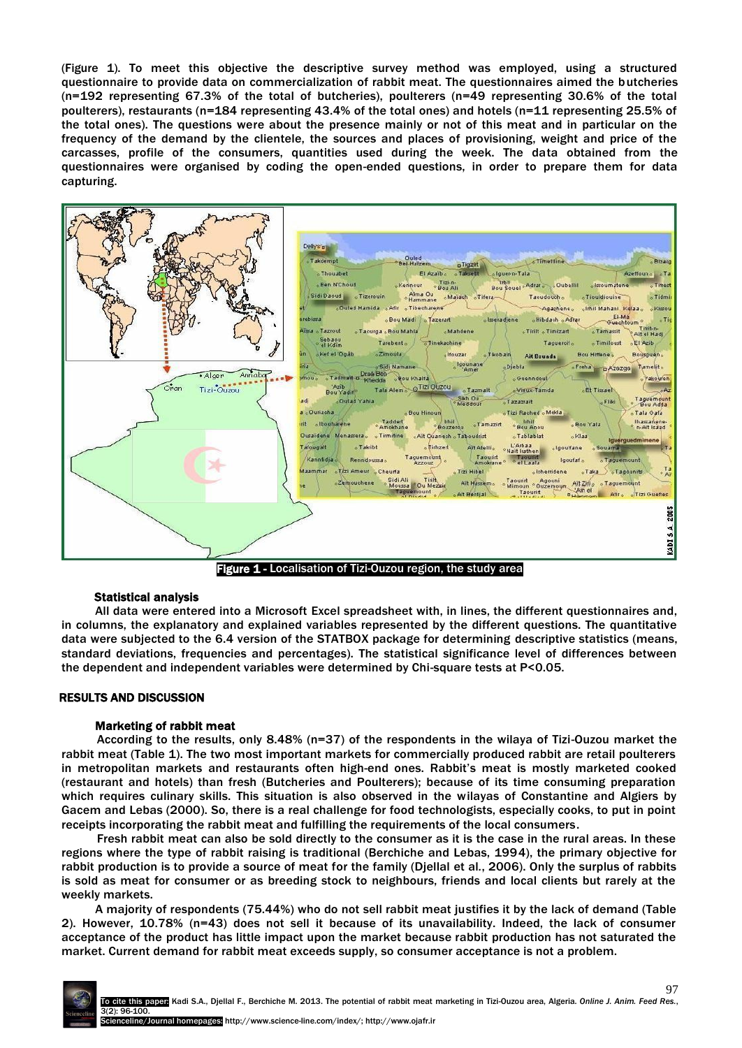(Figure 1). To meet this objective the descriptive survey method was employed, using a structured questionnaire to provide data on commercialization of rabbit meat. The questionnaires aimed the butcheries (n=192 representing 67.3% of the total of butcheries), poulterers (n=49 representing 30.6% of the total poulterers), restaurants (n=184 representing 43.4% of the total ones) and hotels (n=11 representing 25.5% of the total ones). The questions were about the presence mainly or not of this meat and in particular on the frequency of the demand by the clientele, the sources and places of provisioning, weight and price of the carcasses, profile of the consumers, quantities used during the week. The data obtained from the questionnaires were organised by coding the open-ended questions, in order to prepare them for data capturing.



#### Statistical analysis

All data were entered into a Microsoft Excel spreadsheet with, in lines, the different questionnaires and, in columns, the explanatory and explained variables represented by the different questions. The quantitative data were subjected to the 6.4 version of the STATBOX package for determining descriptive statistics (means, standard deviations, frequencies and percentages). The statistical significance level of differences between the dependent and independent variables were determined by Chi-square tests at P<0.05.

#### RESULTS AND DISCUSSION

#### Marketing of rabbit meat

According to the results, only 8.48% (n=37) of the respondents in the wilaya of Tizi-Ouzou market the rabbit meat (Table 1). The two most important markets for commercially produced rabbit are retail poulterers in metropolitan markets and restaurants often high-end ones. Rabbit's meat is mostly marketed cooked (restaurant and hotels) than fresh (Butcheries and Poulterers); because of its time consuming preparation which requires culinary skills. This situation is also observed in the wilayas of Constantine and Algiers by Gacem and Lebas (2000). So, there is a real challenge for food technologists, especially cooks, to put in point receipts incorporating the rabbit meat and fulfilling the requirements of the local consumers.

Fresh rabbit meat can also be sold directly to the consumer as it is the case in the rural areas. In these regions where the type of rabbit raising is traditional (Berchiche and Lebas, 1994), the primary objective for rabbit production is to provide a source of meat for the family (Djellal et al*.*, 2006). Only the surplus of rabbits is sold as meat for consumer or as breeding stock to neighbours, friends and local clients but rarely at the weekly markets.

A majority of respondents (75.44%) who do not sell rabbit meat justifies it by the lack of demand (Table 2). However, 10.78% (n=43) does not sell it because of its unavailability. Indeed, the lack of consumer acceptance of the product has little impact upon the market because rabbit production has not saturated the market. Current demand for rabbit meat exceeds supply, so consumer acceptance is not a problem.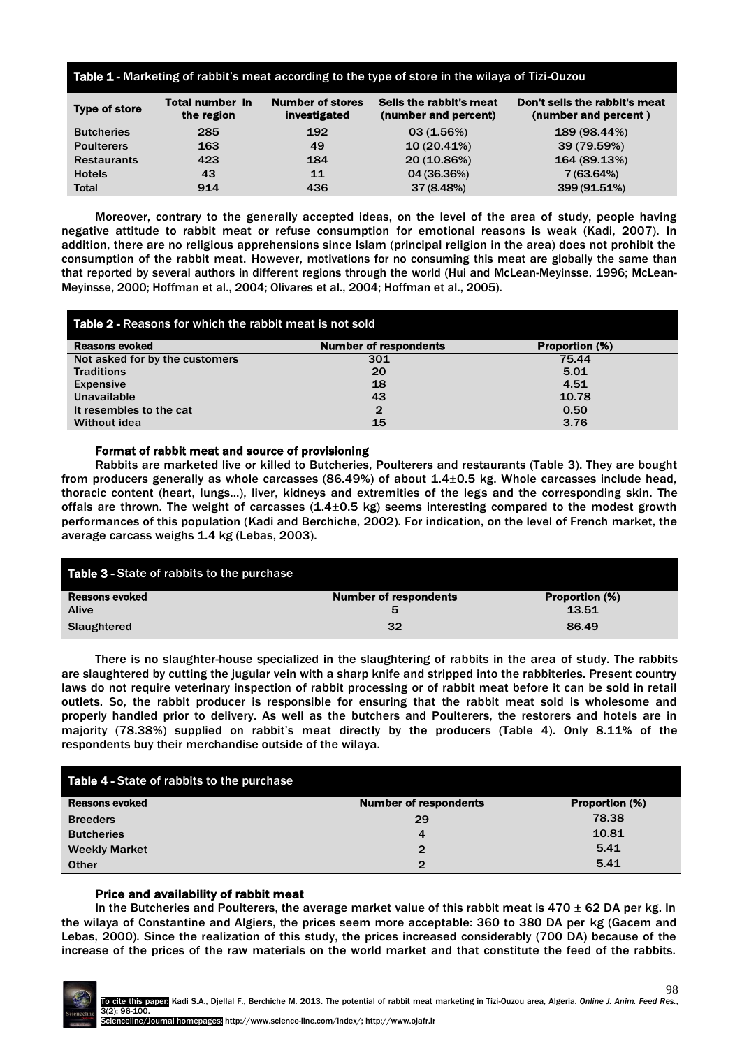| Table 1 - Marketing of rabbit's meat according to the type of store in the wilaya of Tizi-Ouzou |                                      |                                         |                                                 |                                                       |  |
|-------------------------------------------------------------------------------------------------|--------------------------------------|-----------------------------------------|-------------------------------------------------|-------------------------------------------------------|--|
| <b>Type of store</b>                                                                            | <b>Total number in</b><br>the region | <b>Number of stores</b><br>investigated | Sells the rabbit's meat<br>(number and percent) | Don't sells the rabbit's meat<br>(number and percent) |  |
| <b>Butcheries</b>                                                                               | 285                                  | 192                                     | 03(1.56%)                                       | 189 (98.44%)                                          |  |
| <b>Poulterers</b>                                                                               | 163                                  | 49                                      | 10(20.41%)                                      | 39 (79.59%)                                           |  |
| <b>Restaurants</b>                                                                              | 423                                  | 184                                     | 20 (10.86%)                                     | 164 (89.13%)                                          |  |
| <b>Hotels</b>                                                                                   | 43                                   | 11                                      | 04 (36.36%)                                     | 7 (63.64%)                                            |  |
| <b>Total</b>                                                                                    | 914                                  | 436                                     | 37 (8.48%)                                      | 399 (91.51%)                                          |  |
|                                                                                                 |                                      |                                         |                                                 |                                                       |  |

Moreover, contrary to the generally accepted ideas, on the level of the area of study, people having negative attitude to rabbit meat or refuse consumption for emotional reasons is weak (Kadi, 2007). In addition, there are no religious apprehensions since Islam (principal religion in the area) does not prohibit the consumption of the rabbit meat. However, motivations for no consuming this meat are globally the same than that reported by several authors in different regions through the world (Hui and McLean-Meyinsse, 1996; McLean-Meyinsse, 2000; Hoffman et al., 2004; Olivares et al., 2004; Hoffman et al., 2005).

| Table 2 - Reasons for which the rabbit meat is not sold |                              |                |  |  |
|---------------------------------------------------------|------------------------------|----------------|--|--|
| <b>Reasons evoked</b>                                   | <b>Number of respondents</b> | Proportion (%) |  |  |
| Not asked for by the customers                          | 301                          | 75.44          |  |  |
| <b>Traditions</b>                                       | 20                           | 5.01           |  |  |
| <b>Expensive</b>                                        | 18                           | 4.51           |  |  |
| Unavailable                                             | 43                           | 10.78          |  |  |
| It resembles to the cat                                 | $\mathbf{2}$                 | 0.50           |  |  |
| <b>Without idea</b>                                     | 15                           | 3.76           |  |  |

#### Format of rabbit meat and source of provisioning

Rabbits are marketed live or killed to Butcheries, Poulterers and restaurants (Table 3). They are bought from producers generally as whole carcasses (86.49%) of about 1.4±0.5 kg. Whole carcasses include head, thoracic content (heart, lungs...), liver, kidneys and extremities of the legs and the corresponding skin. The offals are thrown. The weight of carcasses (1.4±0.5 kg) seems interesting compared to the modest growth performances of this population (Kadi and Berchiche, 2002). For indication, on the level of French market, the average carcass weighs 1.4 kg (Lebas, 2003).

| Table 3 - State of rabbits to the purchase |                              |                       |  |
|--------------------------------------------|------------------------------|-----------------------|--|
| <b>Reasons evoked</b>                      | <b>Number of respondents</b> | <b>Proportion (%)</b> |  |
| <b>Alive</b>                               | 5                            | 13.51                 |  |
| Slaughtered                                | 32                           | 86.49                 |  |

There is no slaughter-house specialized in the slaughtering of rabbits in the area of study. The rabbits are slaughtered by cutting the jugular vein with a sharp knife and stripped into the rabbiteries. Present country laws do not require veterinary inspection of rabbit processing or of rabbit meat before it can be sold in retail outlets. So, the rabbit producer is responsible for ensuring that the rabbit meat sold is wholesome and properly handled prior to delivery. As well as the butchers and Poulterers, the restorers and hotels are in majority (78.38%) supplied on rabbit's meat directly by the producers (Table 4). Only 8.11% of the respondents buy their merchandise outside of the wilaya.

| Table 4 - State of rabbits to the purchase |                              |                |  |
|--------------------------------------------|------------------------------|----------------|--|
| <b>Reasons evoked</b>                      | <b>Number of respondents</b> | Proportion (%) |  |
| <b>Breeders</b>                            | 29                           | 78.38          |  |
| <b>Butcheries</b>                          |                              | 10.81          |  |
| <b>Weekly Market</b>                       | 2                            | 5.41           |  |
| <b>Other</b>                               | $\mathbf{2}$                 | 5.41           |  |

### Price and availability of rabbit meat

In the Butcheries and Poulterers, the average market value of this rabbit meat is  $470 \pm 62$  DA per kg. In the wilaya of Constantine and Algiers, the prices seem more acceptable: 360 to 380 DA per kg (Gacem and Lebas, 2000). Since the realization of this study, the prices increased considerably (700 DA) because of the increase of the prices of the raw materials on the world market and that constitute the feed of the rabbits.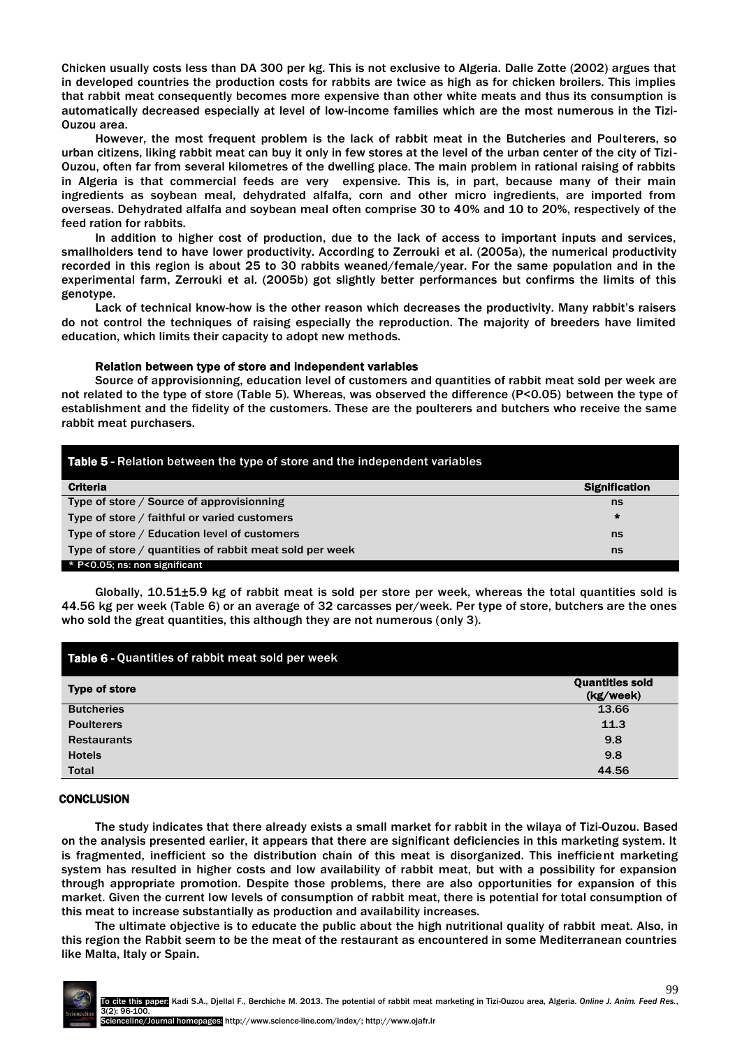Chicken usually costs less than DA 300 per kg. This is not exclusive to Algeria. Dalle Zotte (2002) argues that in developed countries the production costs for rabbits are twice as high as for chicken broilers. This implies that rabbit meat consequently becomes more expensive than other white meats and thus its consumption is automatically decreased especially at level of low-income families which are the most numerous in the Tizi-Ouzou area.

However, the most frequent problem is the lack of rabbit meat in the Butcheries and Poulterers, so urban citizens, liking rabbit meat can buy it only in few stores at the level of the urban center of the city of Tizi-Ouzou, often far from several kilometres of the dwelling place. The main problem in rational raising of rabbits in Algeria is that commercial feeds are very expensive. This is, in part, because many of their main ingredients as soybean meal, dehydrated alfalfa, corn and other micro ingredients, are imported from overseas. Dehydrated alfalfa and soybean meal often comprise 30 to 40% and 10 to 20%, respectively of the feed ration for rabbits.

In addition to higher cost of production, due to the lack of access to important inputs and services, smallholders tend to have lower productivity. According to Zerrouki et al. (2005a), the numerical productivity recorded in this region is about 25 to 30 rabbits weaned/female/year. For the same population and in the experimental farm, Zerrouki et al. (2005b) got slightly better performances but confirms the limits of this genotype.

Lack of technical know-how is the other reason which decreases the productivity. Many rabbit's raisers do not control the techniques of raising especially the reproduction. The majority of breeders have limited education, which limits their capacity to adopt new methods.

#### Relation between type of store and independent variables

Source of approvisionning, education level of customers and quantities of rabbit meat sold per week are not related to the type of store (Table 5). Whereas, was observed the difference (P<0.05) between the type of establishment and the fidelity of the customers. These are the poulterers and butchers who receive the same rabbit meat purchasers.

| <b>Table 5 - Relation between the type of store and the independent variables</b> |                      |  |
|-----------------------------------------------------------------------------------|----------------------|--|
| <b>Criteria</b>                                                                   | <b>Signification</b> |  |
| Type of store / Source of approvisionning                                         | ns                   |  |
| Type of store / faithful or varied customers                                      | $\star$              |  |
| Type of store / Education level of customers                                      | ns                   |  |
| Type of store / quantities of rabbit meat sold per week                           | ns                   |  |
| * P<0.05; ns: non significant                                                     |                      |  |

Globally, 10.51±5.9 kg of rabbit meat is sold per store per week, whereas the total quantities sold is 44.56 kg per week (Table 6) or an average of 32 carcasses per/week. Per type of store, butchers are the ones who sold the great quantities, this although they are not numerous (only 3).

| Table 6 - Quantities of rabbit meat sold per week |                                     |  |
|---------------------------------------------------|-------------------------------------|--|
| <b>Type of store</b>                              | <b>Quantities sold</b><br>(kg/week) |  |
| <b>Butcheries</b>                                 | 13.66                               |  |
| <b>Poulterers</b>                                 | 11.3                                |  |
| <b>Restaurants</b>                                | 9.8                                 |  |
| <b>Hotels</b>                                     | 9.8                                 |  |
| <b>Total</b>                                      | 44.56                               |  |

#### **CONCLUSION**

The study indicates that there already exists a small market for rabbit in the wilaya of Tizi-Ouzou. Based on the analysis presented earlier, it appears that there are significant deficiencies in this marketing system. It is fragmented, inefficient so the distribution chain of this meat is disorganized. This inefficient marketing system has resulted in higher costs and low availability of rabbit meat, but with a possibility for expansion through appropriate promotion. Despite those problems, there are also opportunities for expansion of this market. Given the current low levels of consumption of rabbit meat, there is potential for total consumption of this meat to increase substantially as production and availability increases.

The ultimate objective is to educate the public about the high nutritional quality of rabbit meat. Also, in this region the Rabbit seem to be the meat of the restaurant as encountered in some Mediterranean countries like Malta, Italy or Spain.